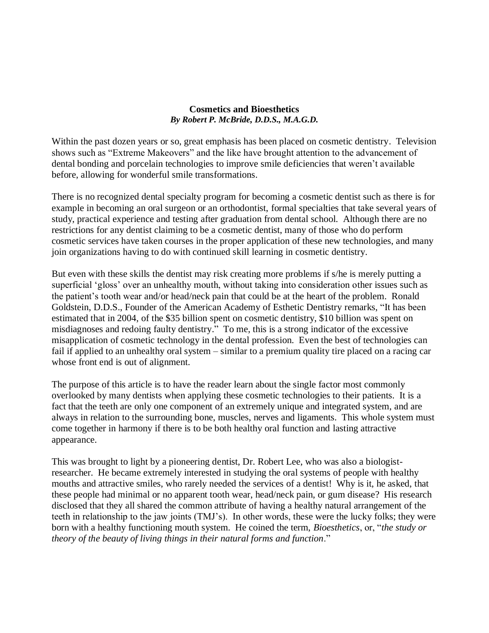## **Cosmetics and Bioesthetics** *By Robert P. McBride, D.D.S., M.A.G.D.*

Within the past dozen years or so, great emphasis has been placed on cosmetic dentistry. Television shows such as "Extreme Makeovers" and the like have brought attention to the advancement of dental bonding and porcelain technologies to improve smile deficiencies that weren't available before, allowing for wonderful smile transformations.

There is no recognized dental specialty program for becoming a cosmetic dentist such as there is for example in becoming an oral surgeon or an orthodontist, formal specialties that take several years of study, practical experience and testing after graduation from dental school. Although there are no restrictions for any dentist claiming to be a cosmetic dentist, many of those who do perform cosmetic services have taken courses in the proper application of these new technologies, and many join organizations having to do with continued skill learning in cosmetic dentistry.

But even with these skills the dentist may risk creating more problems if s/he is merely putting a superficial 'gloss' over an unhealthy mouth, without taking into consideration other issues such as the patient's tooth wear and/or head/neck pain that could be at the heart of the problem. Ronald Goldstein, D.D.S., Founder of the American Academy of Esthetic Dentistry remarks, "It has been estimated that in 2004, of the \$35 billion spent on cosmetic dentistry, \$10 billion was spent on misdiagnoses and redoing faulty dentistry." To me, this is a strong indicator of the excessive misapplication of cosmetic technology in the dental profession. Even the best of technologies can fail if applied to an unhealthy oral system – similar to a premium quality tire placed on a racing car whose front end is out of alignment.

The purpose of this article is to have the reader learn about the single factor most commonly overlooked by many dentists when applying these cosmetic technologies to their patients. It is a fact that the teeth are only one component of an extremely unique and integrated system, and are always in relation to the surrounding bone, muscles, nerves and ligaments. This whole system must come together in harmony if there is to be both healthy oral function and lasting attractive appearance.

This was brought to light by a pioneering dentist, Dr. Robert Lee, who was also a biologistresearcher. He became extremely interested in studying the oral systems of people with healthy mouths and attractive smiles, who rarely needed the services of a dentist! Why is it, he asked, that these people had minimal or no apparent tooth wear, head/neck pain, or gum disease? His research disclosed that they all shared the common attribute of having a healthy natural arrangement of the teeth in relationship to the jaw joints (TMJ's). In other words, these were the lucky folks; they were born with a healthy functioning mouth system. He coined the term, *Bioesthetics*, or, "*the study or theory of the beauty of living things in their natural forms and function*."